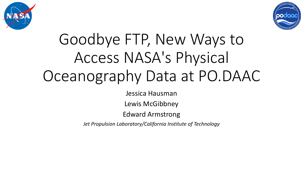



# Goodbye FTP, New Ways to Access NASA's Physical Oceanography Data at PO.DAAC

Jessica Hausman

Lewis McGibbney

Edward Armstrong

*Jet Propulsion Laboratory/California Institute of Technology*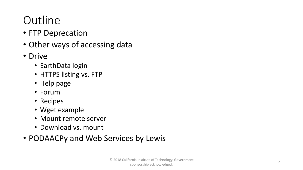#### **Outline**

- FTP Deprecation
- Other ways of accessing data
- Drive
	- EarthData login
	- HTTPS listing vs. FTP
	- Help page
	- Forum
	- Recipes
	- Wget example
	- Mount remote server
	- Download vs. mount
- PODAACPy and Web Services by Lewis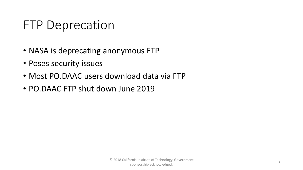#### FTP Deprecation

- NASA is deprecating anonymous FTP
- Poses security issues
- Most PO.DAAC users download data via FTP
- PO.DAAC FTP shut down June 2019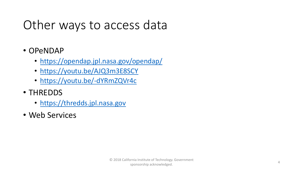## Other ways to access data

- OPeNDAP
	- <https://opendap.jpl.nasa.gov/opendap/>
	- <https://youtu.be/AJQ3m3E8SCY>
	- <https://youtu.be/-dYRmZQVr4c>
- THREDDS
	- [https://thredds.jpl.nasa.gov](https://thredds.jpl.nasa.gov/)
- Web Services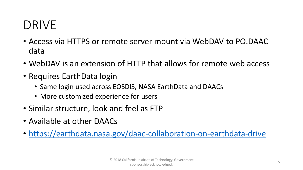### DRIVE

- Access via HTTPS or remote server mount via WebDAV to PO.DAAC data
- WebDAV is an extension of HTTP that allows for remote web access
- Requires EarthData login
	- Same login used across EOSDIS, NASA EarthData and DAACs
	- More customized experience for users
- Similar structure, look and feel as FTP
- Available at other DAACs
- <https://earthdata.nasa.gov/daac-collaboration-on-earthdata-drive>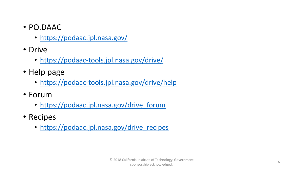- PO.DAAC
	- <https://podaac.jpl.nasa.gov/>
- Drive
	- <https://podaac-tools.jpl.nasa.gov/drive/>
- Help page
	- <https://podaac-tools.jpl.nasa.gov/drive/help>
- Forum
	- [https://podaac.jpl.nasa.gov/drive\\_forum](https://podaac.jpl.nasa.gov/drive_forum)
- Recipes
	- [https://podaac.jpl.nasa.gov/drive\\_recipes](https://podaac.jpl.nasa.gov/drive_recipes)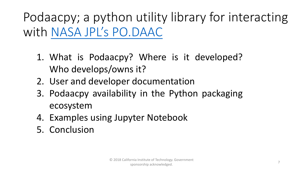Podaacpy; a python utility library for interacting with [NASA JPL's PO.DAAC](https://podaac.jpl.nasa.gov/)

- 1. What is Podaacpy? Where is it developed? Who develops/owns it?
- 2. User and developer documentation
- 3. Podaacpy availability in the Python packaging ecosystem
- 4. Examples using Jupyter Notebook
- 5. Conclusion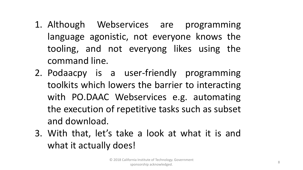- 1. Although Webservices are programming language agonistic, not everyone knows the tooling, and not everyong likes using the command line.
- 2. Podaacpy is a user-friendly programming toolkits which lowers the barrier to interacting with PO.DAAC Webservices e.g. automating the execution of repetitive tasks such as subset and download.
- 3. With that, let's take a look at what it is and what it actually does!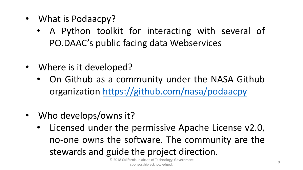- What is Podaacpy?
	- A Python toolkit for interacting with several of PO.DAAC's public facing data Webservices
- Where is it developed?
	- On Github as a community under the NASA Github organization <https://github.com/nasa/podaacpy>
- Who develops/owns it?
	- Licensed under the permissive Apache License v2.0, no-one owns the software. The community are the stewards and guide the project direction.